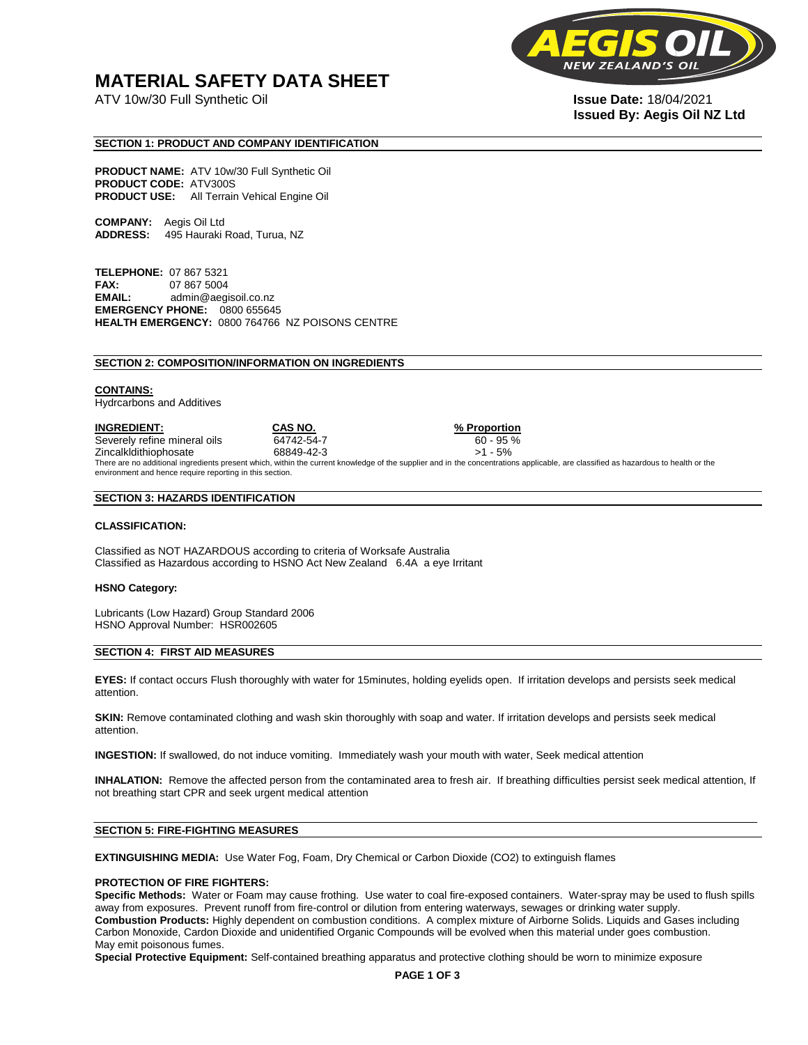## **MATERIAL SAFETY DATA SHEET**

ATV 10w/30 Full Synthetic Oil **Issue Date:** 18/04/2021



# **Issued By: Aegis Oil NZ Ltd**

#### **SECTION 1: PRODUCT AND COMPANY IDENTIFICATION**

**PRODUCT NAME:** ATV 10w/30 Full Synthetic Oil **PRODUCT CODE:** ATV300S **PRODUCT USE:** All Terrain Vehical Engine Oil

**COMPANY:** Aegis Oil Ltd **ADDRESS:** 495 Hauraki Road, Turua, NZ

**TELEPHONE:** 07 867 5321 **FAX:** 07 867 5004 **EMAIL:** admin@aegisoil.co.nz **EMERGENCY PHONE:** 0800 655645 **HEALTH EMERGENCY:** 0800 764766 NZ POISONS CENTRE

#### **SECTION 2: COMPOSITION/INFORMATION ON INGREDIENTS**

#### **CONTAINS:**

Hydrcarbons and Additives

**INGREDIENT: CAS NO. % Proportion**  Severely refine mineral oils 64742-54-7 60 - 95 % Zincalkldithiophosate 68849-42-3 >1 - 5% There are no additional ingredients present which, within the current knowledge of the supplier and in the concentrations applicable, are classified as hazardous to health or the environment and hence require reporting in this section.

#### **SECTION 3: HAZARDS IDENTIFICATION**

#### **CLASSIFICATION:**

Classified as NOT HAZARDOUS according to criteria of Worksafe Australia Classified as Hazardous according to HSNO Act New Zealand 6.4A a eye Irritant

#### **HSNO Category:**

Lubricants (Low Hazard) Group Standard 2006 HSNO Approval Number: HSR002605

#### **SECTION 4: FIRST AID MEASURES**

**EYES:** If contact occurs Flush thoroughly with water for 15minutes, holding eyelids open. If irritation develops and persists seek medical attention.

**SKIN:** Remove contaminated clothing and wash skin thoroughly with soap and water. If irritation develops and persists seek medical attention.

**INGESTION:** If swallowed, do not induce vomiting. Immediately wash your mouth with water, Seek medical attention

**INHALATION:** Remove the affected person from the contaminated area to fresh air. If breathing difficulties persist seek medical attention, If not breathing start CPR and seek urgent medical attention

#### **SECTION 5: FIRE-FIGHTING MEASURES**

**EXTINGUISHING MEDIA:** Use Water Fog, Foam, Dry Chemical or Carbon Dioxide (CO2) to extinguish flames

#### **PROTECTION OF FIRE FIGHTERS:**

**Specific Methods:** Water or Foam may cause frothing. Use water to coal fire-exposed containers. Water-spray may be used to flush spills away from exposures. Prevent runoff from fire-control or dilution from entering waterways, sewages or drinking water supply. **Combustion Products:** Highly dependent on combustion conditions. A complex mixture of Airborne Solids. Liquids and Gases including Carbon Monoxide, Cardon Dioxide and unidentified Organic Compounds will be evolved when this material under goes combustion. May emit poisonous fumes.

**Special Protective Equipment:** Self-contained breathing apparatus and protective clothing should be worn to minimize exposure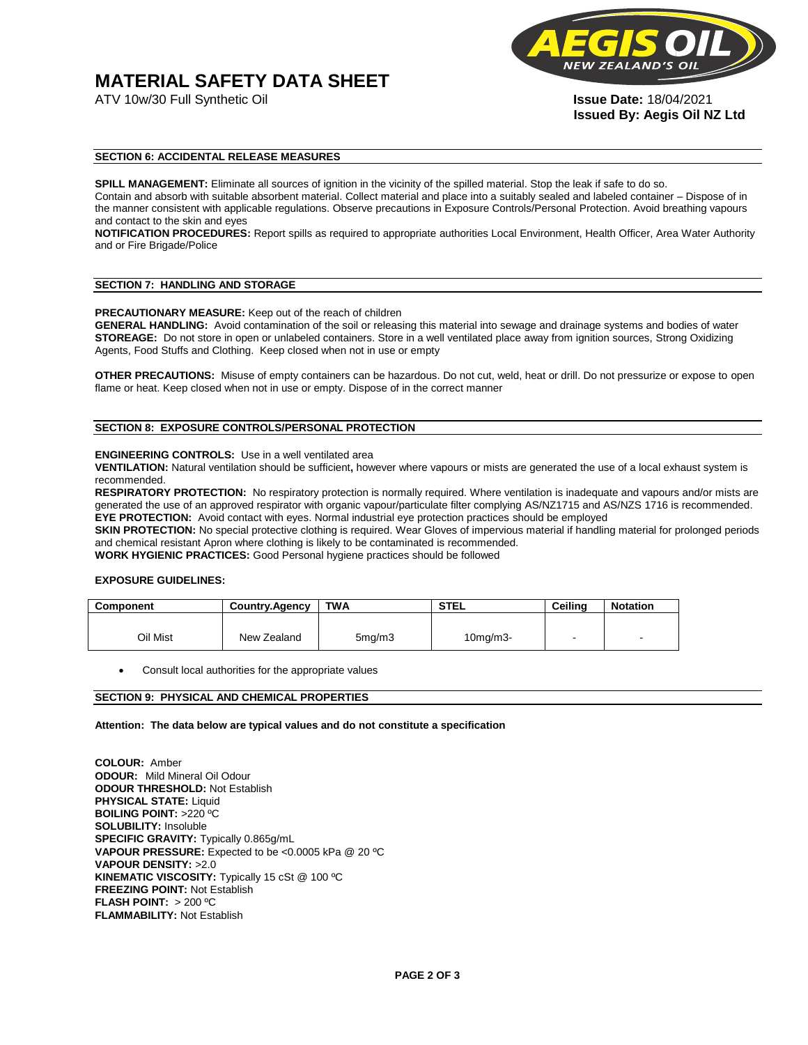# **MATERIAL SAFETY DATA SHEET**



**Issued By: Aegis Oil NZ Ltd** 

#### **SECTION 6: ACCIDENTAL RELEASE MEASURES**

**SPILL MANAGEMENT:** Eliminate all sources of ignition in the vicinity of the spilled material. Stop the leak if safe to do so. Contain and absorb with suitable absorbent material. Collect material and place into a suitably sealed and labeled container – Dispose of in the manner consistent with applicable regulations. Observe precautions in Exposure Controls/Personal Protection. Avoid breathing vapours and contact to the skin and eyes

**NOTIFICATION PROCEDURES:** Report spills as required to appropriate authorities Local Environment, Health Officer, Area Water Authority and or Fire Brigade/Police

#### **SECTION 7: HANDLING AND STORAGE**

**PRECAUTIONARY MEASURE:** Keep out of the reach of children

**GENERAL HANDLING:** Avoid contamination of the soil or releasing this material into sewage and drainage systems and bodies of water **STOREAGE:** Do not store in open or unlabeled containers. Store in a well ventilated place away from ignition sources, Strong Oxidizing Agents, Food Stuffs and Clothing. Keep closed when not in use or empty

**OTHER PRECAUTIONS:** Misuse of empty containers can be hazardous. Do not cut, weld, heat or drill. Do not pressurize or expose to open flame or heat. Keep closed when not in use or empty. Dispose of in the correct manner

#### **SECTION 8: EXPOSURE CONTROLS/PERSONAL PROTECTION**

#### **ENGINEERING CONTROLS:** Use in a well ventilated area

**VENTILATION:** Natural ventilation should be sufficient**,** however where vapours or mists are generated the use of a local exhaust system is recommended.

**RESPIRATORY PROTECTION:** No respiratory protection is normally required. Where ventilation is inadequate and vapours and/or mists are generated the use of an approved respirator with organic vapour/particulate filter complying AS/NZ1715 and AS/NZS 1716 is recommended. **EYE PROTECTION:** Avoid contact with eyes. Normal industrial eye protection practices should be employed

**SKIN PROTECTION:** No special protective clothing is required. Wear Gloves of impervious material if handling material for prolonged periods and chemical resistant Apron where clothing is likely to be contaminated is recommended.

**WORK HYGIENIC PRACTICES:** Good Personal hygiene practices should be followed

#### **EXPOSURE GUIDELINES:**

| <b>Component</b> | <b>Country.Agency</b> | <b>TWA</b>          | <b>STEL</b>    | Ceilina | <b>Notation</b>          |
|------------------|-----------------------|---------------------|----------------|---------|--------------------------|
|                  |                       |                     |                |         |                          |
| Oil Mist         | New Zealand           | 5 <sub>mq</sub> /m3 | $10$ mg/m $3-$ |         | $\overline{\phantom{a}}$ |

Consult local authorities for the appropriate values

#### **SECTION 9: PHYSICAL AND CHEMICAL PROPERTIES**

**Attention: The data below are typical values and do not constitute a specification** 

**COLOUR:** Amber **ODOUR:** Mild Mineral Oil Odour **ODOUR THRESHOLD:** Not Establish **PHYSICAL STATE:** Liquid **BOILING POINT:** >220 ºC **SOLUBILITY:** Insoluble **SPECIFIC GRAVITY:** Typically 0.865g/mL **VAPOUR PRESSURE:** Expected to be <0.0005 kPa @ 20 ºC **VAPOUR DENSITY:** >2.0 **KINEMATIC VISCOSITY:** Typically 15 cSt @ 100 ºC **FREEZING POINT: Not Establish FLASH POINT:** > 200 ºC **FLAMMABILITY:** Not Establish